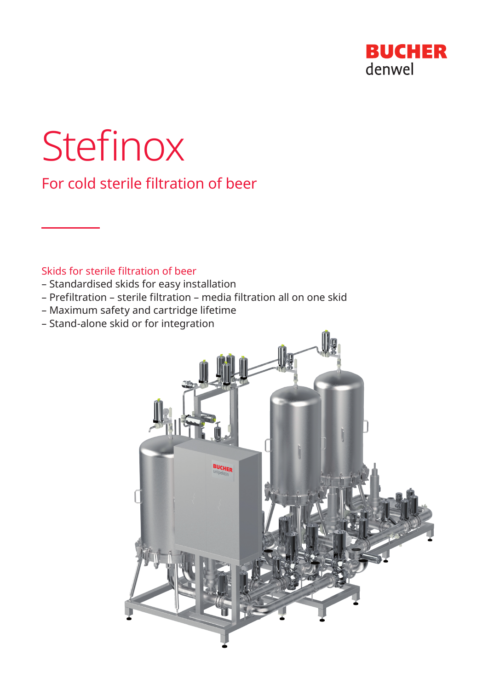

# Stefinox

For cold sterile filtration of beer

# Skids for sterile filtration of beer

- Standardised skids for easy installation
- Prefiltration sterile filtration media filtration all on one skid
- Maximum safety and cartridge lifetime
- Stand-alone skid or for integration